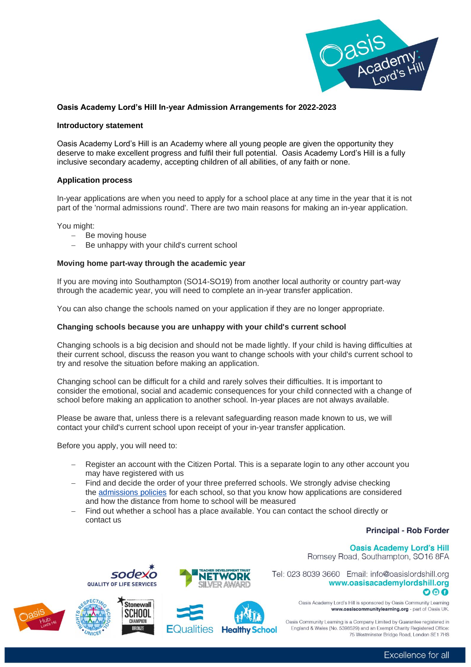

## **Oasis Academy Lord's Hill In-year Admission Arrangements for 2022-2023**

#### **Introductory statement**

Oasis Academy Lord's Hill is an Academy where all young people are given the opportunity they deserve to make excellent progress and fulfil their full potential. Oasis Academy Lord's Hill is a fully inclusive secondary academy, accepting children of all abilities, of any faith or none.

### **Application process**

In-year applications are when you need to apply for a school place at any time in the year that it is not part of the 'normal admissions round'. There are two main reasons for making an in-year application.

You might:

- Be moving house
- Be unhappy with your child's current school

### **Moving home part-way through the academic year**

If you are moving into Southampton (SO14-SO19) from another local authority or country part-way through the academic year, you will need to complete an in-year transfer application.

You can also change the schools named on your application if they are no longer appropriate.

### **Changing schools because you are unhappy with your child's current school**

Changing schools is a big decision and should not be made lightly. If your child is having difficulties at their current school, discuss the reason you want to change schools with your child's current school to try and resolve the situation before making an application.

Changing school can be difficult for a child and rarely solves their difficulties. It is important to consider the emotional, social and academic consequences for your child connected with a change of school before making an application to another school. In-year places are not always available.

Please be aware that, unless there is a relevant safeguarding reason made known to us, we will contact your child's current school upon receipt of your in-year transfer application.

Before you apply, you will need to:

- Register an account with the Citizen Portal. This is a separate login to any other account you may have registered with us
- Find and decide the order of your three preferred schools. We strongly advise checking the [admissions policies](https://www.southampton.gov.uk/schools-learning/find-school/apply-school/infant-school-admissions-policies.aspx) for each school, so that you know how applications are considered and how the distance from home to school will be measured
- Find out whether a school has a place available. You can contact the school directly or contact us

# **Principal - Rob Forder**

#### **Oasis Academy Lord's Hill** Romsey Road, Southampton, SO16 8FA

Tel: 023 8039 3660 Email: info@oasislordshill.org www.oasisacademylordshill.org





sode





Oasis Academy Lord's Hill is sponsored by Oasis Community Learning www.oasiscommunitylearning.org - part of Oasis UK.

Oasis Community Learning is a Company Limited by Guarantee registered in England & Wales (No. 5398529) and an Exempt Charity Registered Office: 75 Westminster Bridge Boad, London SE1 7HS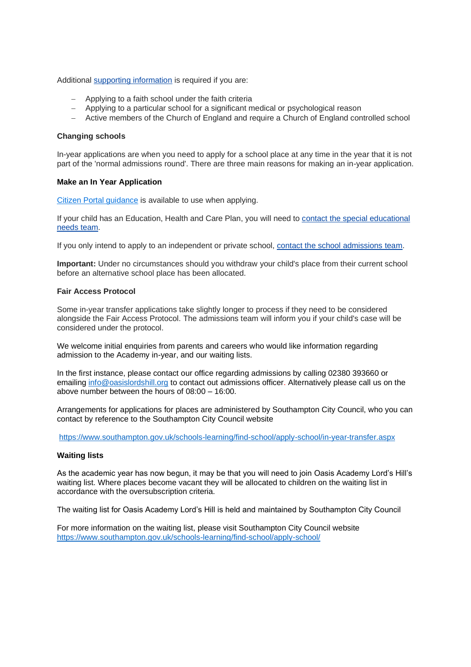#### Additional [supporting information](https://www.southampton.gov.uk/schools-learning/find-school/apply-school/supporting-information.aspx) is required if you are:

- − Applying to a faith school under the faith criteria
- − Applying to a particular school for a significant medical or psychological reason
- − Active members of the Church of England and require a Church of England controlled school

### **Changing schools**

In-year applications are when you need to apply for a school place at any time in the year that it is not part of the 'normal admissions round'. There are three main reasons for making an in-year application.

### **Make an In Year Application**

[Citizen Portal guidance](https://www.southampton.gov.uk/schools-learning/find-school/apply-school/application-help/default.aspx) is available to use when applying.

If your child has an Education, Health and Care Plan, you will need to [contact the special educational](https://www.southampton.gov.uk/contact-us/main-council-services/school-admissions-contact.aspx)  [needs team.](https://www.southampton.gov.uk/contact-us/main-council-services/school-admissions-contact.aspx)

If you only intend to apply to an independent or private school, [contact the school admissions team.](https://my.southampton.gov.uk/service/General_enquiries?service=School%20admissions%20and%20applications)

**Important:** Under no circumstances should you withdraw your child's place from their current school before an alternative school place has been allocated.

### **Fair Access Protocol**

Some in-year transfer applications take slightly longer to process if they need to be considered alongside the Fair Access Protocol. The admissions team will inform you if your child's case will be considered under the protocol.

We welcome initial enquiries from parents and careers who would like information regarding admission to the Academy in-year, and our waiting lists.

In the first instance, please contact our office regarding admissions by calling 02380 393660 or emailing [info@oasislordshill.org](mailto:info@oasislordshill.org) to contact out admissions officer. Alternatively please call us on the above number between the hours of 08:00 – 16:00.

Arrangements for applications for places are administered by Southampton City Council, who you can contact by reference to the Southampton City Council website

<https://www.southampton.gov.uk/schools-learning/find-school/apply-school/in-year-transfer.aspx>

### **Waiting lists**

As the academic year has now begun, it may be that you will need to join Oasis Academy Lord's Hill's waiting list. Where places become vacant they will be allocated to children on the waiting list in accordance with the oversubscription criteria.

The waiting list for Oasis Academy Lord's Hill is held and maintained by Southampton City Council

For more information on the waiting list, please visit Southampton City Council website <https://www.southampton.gov.uk/schools-learning/find-school/apply-school/>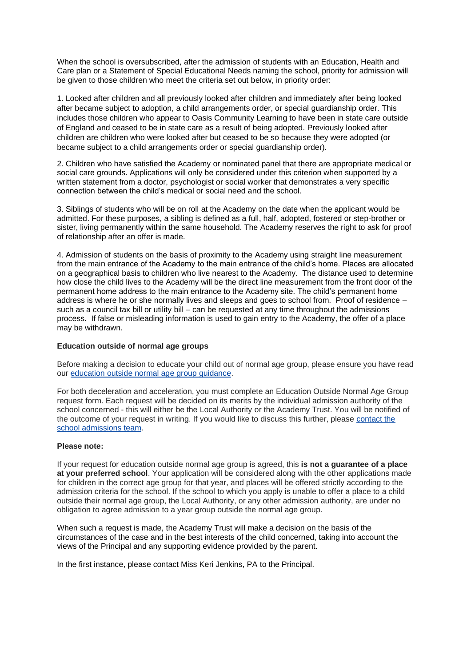When the school is oversubscribed, after the admission of students with an Education, Health and Care plan or a Statement of Special Educational Needs naming the school, priority for admission will be given to those children who meet the criteria set out below, in priority order:

1. Looked after children and all previously looked after children and immediately after being looked after became subject to adoption, a child arrangements order, or special guardianship order. This includes those children who appear to Oasis Community Learning to have been in state care outside of England and ceased to be in state care as a result of being adopted. Previously looked after children are children who were looked after but ceased to be so because they were adopted (or became subject to a child arrangements order or special guardianship order).

2. Children who have satisfied the Academy or nominated panel that there are appropriate medical or social care grounds. Applications will only be considered under this criterion when supported by a written statement from a doctor, psychologist or social worker that demonstrates a very specific connection between the child's medical or social need and the school.

3. Siblings of students who will be on roll at the Academy on the date when the applicant would be admitted. For these purposes, a sibling is defined as a full, half, adopted, fostered or step-brother or sister, living permanently within the same household. The Academy reserves the right to ask for proof of relationship after an offer is made.

4. Admission of students on the basis of proximity to the Academy using straight line measurement from the main entrance of the Academy to the main entrance of the child's home. Places are allocated on a geographical basis to children who live nearest to the Academy. The distance used to determine how close the child lives to the Academy will be the direct line measurement from the front door of the permanent home address to the main entrance to the Academy site. The child's permanent home address is where he or she normally lives and sleeps and goes to school from. Proof of residence – such as a council tax bill or utility bill – can be requested at any time throughout the admissions process. If false or misleading information is used to gain entry to the Academy, the offer of a place may be withdrawn.

### **Education outside of normal age groups**

Before making a decision to educate your child out of normal age group, please ensure you have read our [education outside normal age group guidance.](https://www.southampton.gov.uk/Images/Guidance-on-education-outside-normal-age-group_tcm63-398303.pdf)

For both deceleration and acceleration, you must complete an Education Outside Normal Age Group request form. Each request will be decided on its merits by the individual admission authority of the school concerned - this will either be the Local Authority or the Academy Trust. You will be notified of the outcome of your request in writing. If you would like to discuss this further, please [contact the](https://my.southampton.gov.uk/service/General_enquiries?service=School%20admissions%20and%20applications)  [school admissions team.](https://my.southampton.gov.uk/service/General_enquiries?service=School%20admissions%20and%20applications)

### **Please note:**

If your request for education outside normal age group is agreed, this **is not a guarantee of a place at your preferred school**. Your application will be considered along with the other applications made for children in the correct age group for that year, and places will be offered strictly according to the admission criteria for the school. If the school to which you apply is unable to offer a place to a child outside their normal age group, the Local Authority, or any other admission authority, are under no obligation to agree admission to a year group outside the normal age group.

When such a request is made, the Academy Trust will make a decision on the basis of the circumstances of the case and in the best interests of the child concerned, taking into account the views of the Principal and any supporting evidence provided by the parent.

In the first instance, please contact Miss Keri Jenkins, PA to the Principal.